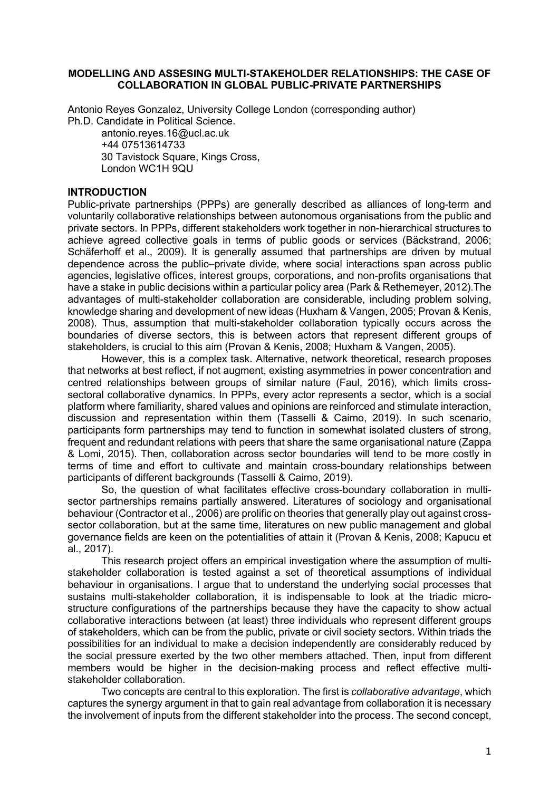#### **MODELLING AND ASSESING MULTI-STAKEHOLDER RELATIONSHIPS: THE CASE OF COLLABORATION IN GLOBAL PUBLIC-PRIVATE PARTNERSHIPS**

Antonio Reyes Gonzalez, University College London (corresponding author) Ph.D. Candidate in Political Science.

antonio.reyes.16@ucl.ac.uk +44 07513614733 30 Tavistock Square, Kings Cross, London WC1H 9QU

### **INTRODUCTION**

Public-private partnerships (PPPs) are generally described as alliances of long-term and voluntarily collaborative relationships between autonomous organisations from the public and private sectors. In PPPs, different stakeholders work together in non-hierarchical structures to achieve agreed collective goals in terms of public goods or services (Bäckstrand, 2006; Schäferhoff et al., 2009). It is generally assumed that partnerships are driven by mutual dependence across the public–private divide, where social interactions span across public agencies, legislative offices, interest groups, corporations, and non-profits organisations that have a stake in public decisions within a particular policy area (Park & Rethemeyer, 2012).The advantages of multi-stakeholder collaboration are considerable, including problem solving, knowledge sharing and development of new ideas (Huxham & Vangen, 2005; Provan & Kenis, 2008). Thus, assumption that multi-stakeholder collaboration typically occurs across the boundaries of diverse sectors, this is between actors that represent different groups of stakeholders, is crucial to this aim (Provan & Kenis, 2008; Huxham & Vangen, 2005).

However, this is a complex task. Alternative, network theoretical, research proposes that networks at best reflect, if not augment, existing asymmetries in power concentration and centred relationships between groups of similar nature (Faul, 2016), which limits crosssectoral collaborative dynamics. In PPPs, every actor represents a sector, which is a social platform where familiarity, shared values and opinions are reinforced and stimulate interaction, discussion and representation within them (Tasselli & Caimo, 2019). In such scenario, participants form partnerships may tend to function in somewhat isolated clusters of strong, frequent and redundant relations with peers that share the same organisational nature (Zappa & Lomi, 2015). Then, collaboration across sector boundaries will tend to be more costly in terms of time and effort to cultivate and maintain cross-boundary relationships between participants of different backgrounds (Tasselli & Caimo, 2019).

So, the question of what facilitates effective cross-boundary collaboration in multisector partnerships remains partially answered. Literatures of sociology and organisational behaviour (Contractor et al., 2006) are prolific on theories that generally play out against crosssector collaboration, but at the same time, literatures on new public management and global governance fields are keen on the potentialities of attain it (Provan & Kenis, 2008; Kapucu et al., 2017).

This research project offers an empirical investigation where the assumption of multistakeholder collaboration is tested against a set of theoretical assumptions of individual behaviour in organisations. I argue that to understand the underlying social processes that sustains multi-stakeholder collaboration, it is indispensable to look at the triadic microstructure configurations of the partnerships because they have the capacity to show actual collaborative interactions between (at least) three individuals who represent different groups of stakeholders, which can be from the public, private or civil society sectors. Within triads the possibilities for an individual to make a decision independently are considerably reduced by the social pressure exerted by the two other members attached. Then, input from different members would be higher in the decision-making process and reflect effective multistakeholder collaboration.

Two concepts are central to this exploration. The first is *collaborative advantage*, which captures the synergy argument in that to gain real advantage from collaboration it is necessary the involvement of inputs from the different stakeholder into the process. The second concept,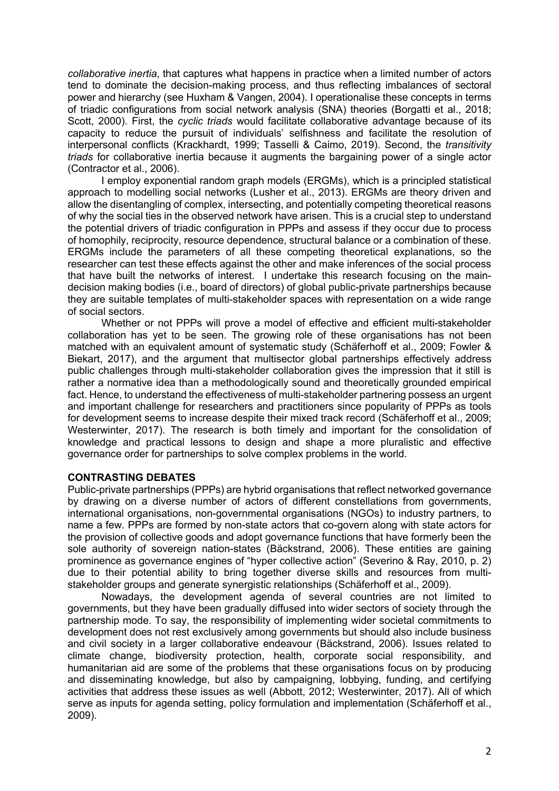*collaborative inertia*, that captures what happens in practice when a limited number of actors tend to dominate the decision-making process, and thus reflecting imbalances of sectoral power and hierarchy (see Huxham & Vangen, 2004). I operationalise these concepts in terms of triadic configurations from social network analysis (SNA) theories (Borgatti et al., 2018; Scott, 2000). First, the *cyclic triads* would facilitate collaborative advantage because of its capacity to reduce the pursuit of individuals' selfishness and facilitate the resolution of interpersonal conflicts (Krackhardt, 1999; Tasselli & Caimo, 2019). Second, the *transitivity triads* for collaborative inertia because it augments the bargaining power of a single actor (Contractor et al., 2006).

I employ exponential random graph models (ERGMs), which is a principled statistical approach to modelling social networks (Lusher et al., 2013). ERGMs are theory driven and allow the disentangling of complex, intersecting, and potentially competing theoretical reasons of why the social ties in the observed network have arisen. This is a crucial step to understand the potential drivers of triadic configuration in PPPs and assess if they occur due to process of homophily, reciprocity, resource dependence, structural balance or a combination of these. ERGMs include the parameters of all these competing theoretical explanations, so the researcher can test these effects against the other and make inferences of the social process that have built the networks of interest. I undertake this research focusing on the maindecision making bodies (i.e., board of directors) of global public-private partnerships because they are suitable templates of multi-stakeholder spaces with representation on a wide range of social sectors.

Whether or not PPPs will prove a model of effective and efficient multi-stakeholder collaboration has yet to be seen. The growing role of these organisations has not been matched with an equivalent amount of systematic study (Schäferhoff et al., 2009; Fowler & Biekart, 2017), and the argument that multisector global partnerships effectively address public challenges through multi-stakeholder collaboration gives the impression that it still is rather a normative idea than a methodologically sound and theoretically grounded empirical fact. Hence, to understand the effectiveness of multi-stakeholder partnering possess an urgent and important challenge for researchers and practitioners since popularity of PPPs as tools for development seems to increase despite their mixed track record (Schäferhoff et al., 2009; Westerwinter, 2017). The research is both timely and important for the consolidation of knowledge and practical lessons to design and shape a more pluralistic and effective governance order for partnerships to solve complex problems in the world.

#### **CONTRASTING DEBATES**

Public-private partnerships (PPPs) are hybrid organisations that reflect networked governance by drawing on a diverse number of actors of different constellations from governments, international organisations, non-governmental organisations (NGOs) to industry partners, to name a few. PPPs are formed by non-state actors that co-govern along with state actors for the provision of collective goods and adopt governance functions that have formerly been the sole authority of sovereign nation-states (Bäckstrand, 2006). These entities are gaining prominence as governance engines of "hyper collective action" (Severino & Ray, 2010, p. 2) due to their potential ability to bring together diverse skills and resources from multistakeholder groups and generate synergistic relationships (Schäferhoff et al., 2009).

Nowadays, the development agenda of several countries are not limited to governments, but they have been gradually diffused into wider sectors of society through the partnership mode. To say, the responsibility of implementing wider societal commitments to development does not rest exclusively among governments but should also include business and civil society in a larger collaborative endeavour (Bäckstrand, 2006). Issues related to climate change, biodiversity protection, health, corporate social responsibility, and humanitarian aid are some of the problems that these organisations focus on by producing and disseminating knowledge, but also by campaigning, lobbying, funding, and certifying activities that address these issues as well (Abbott, 2012; Westerwinter, 2017). All of which serve as inputs for agenda setting, policy formulation and implementation (Schäferhoff et al., 2009).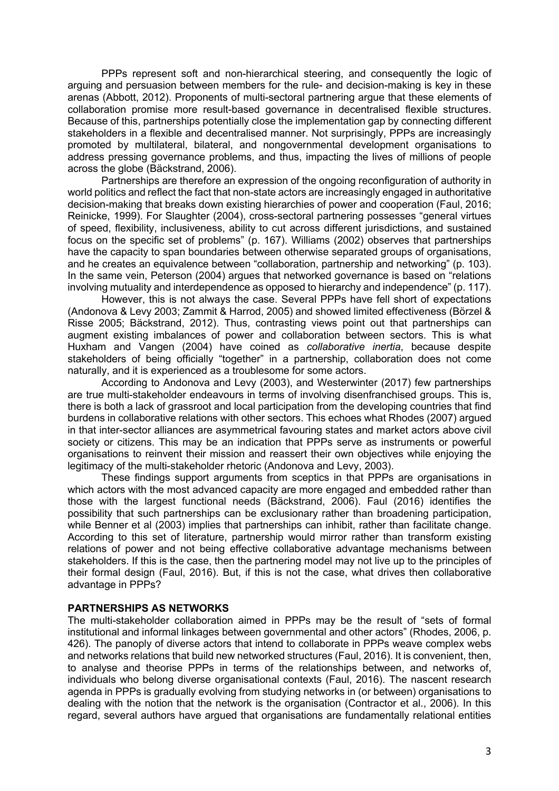PPPs represent soft and non-hierarchical steering, and consequently the logic of arguing and persuasion between members for the rule- and decision-making is key in these arenas (Abbott, 2012). Proponents of multi-sectoral partnering argue that these elements of collaboration promise more result-based governance in decentralised flexible structures. Because of this, partnerships potentially close the implementation gap by connecting different stakeholders in a flexible and decentralised manner. Not surprisingly, PPPs are increasingly promoted by multilateral, bilateral, and nongovernmental development organisations to address pressing governance problems, and thus, impacting the lives of millions of people across the globe (Bäckstrand, 2006).

Partnerships are therefore an expression of the ongoing reconfiguration of authority in world politics and reflect the fact that non-state actors are increasingly engaged in authoritative decision-making that breaks down existing hierarchies of power and cooperation (Faul, 2016; Reinicke, 1999). For Slaughter (2004), cross-sectoral partnering possesses "general virtues of speed, flexibility, inclusiveness, ability to cut across different jurisdictions, and sustained focus on the specific set of problems" (p. 167). Williams (2002) observes that partnerships have the capacity to span boundaries between otherwise separated groups of organisations, and he creates an equivalence between "collaboration, partnership and networking" (p. 103). In the same vein, Peterson (2004) argues that networked governance is based on "relations involving mutuality and interdependence as opposed to hierarchy and independence" (p. 117).

However, this is not always the case. Several PPPs have fell short of expectations (Andonova & Levy 2003; Zammit & Harrod, 2005) and showed limited effectiveness (Börzel & Risse 2005; Bäckstrand, 2012). Thus, contrasting views point out that partnerships can augment existing imbalances of power and collaboration between sectors. This is what Huxham and Vangen (2004) have coined as *collaborative inertia*, because despite stakeholders of being officially "together" in a partnership, collaboration does not come naturally, and it is experienced as a troublesome for some actors.

According to Andonova and Levy (2003), and Westerwinter (2017) few partnerships are true multi-stakeholder endeavours in terms of involving disenfranchised groups. This is, there is both a lack of grassroot and local participation from the developing countries that find burdens in collaborative relations with other sectors. This echoes what Rhodes (2007) argued in that inter-sector alliances are asymmetrical favouring states and market actors above civil society or citizens. This may be an indication that PPPs serve as instruments or powerful organisations to reinvent their mission and reassert their own objectives while enjoying the legitimacy of the multi-stakeholder rhetoric (Andonova and Levy, 2003).

These findings support arguments from sceptics in that PPPs are organisations in which actors with the most advanced capacity are more engaged and embedded rather than those with the largest functional needs (Bäckstrand, 2006). Faul (2016) identifies the possibility that such partnerships can be exclusionary rather than broadening participation, while Benner et al (2003) implies that partnerships can inhibit, rather than facilitate change. According to this set of literature, partnership would mirror rather than transform existing relations of power and not being effective collaborative advantage mechanisms between stakeholders. If this is the case, then the partnering model may not live up to the principles of their formal design (Faul, 2016). But, if this is not the case, what drives then collaborative advantage in PPPs?

#### **PARTNERSHIPS AS NETWORKS**

The multi-stakeholder collaboration aimed in PPPs may be the result of "sets of formal institutional and informal linkages between governmental and other actors" (Rhodes, 2006, p. 426). The panoply of diverse actors that intend to collaborate in PPPs weave complex webs and networks relations that build new networked structures (Faul, 2016). It is convenient, then, to analyse and theorise PPPs in terms of the relationships between, and networks of, individuals who belong diverse organisational contexts (Faul, 2016). The nascent research agenda in PPPs is gradually evolving from studying networks in (or between) organisations to dealing with the notion that the network is the organisation (Contractor et al., 2006). In this regard, several authors have argued that organisations are fundamentally relational entities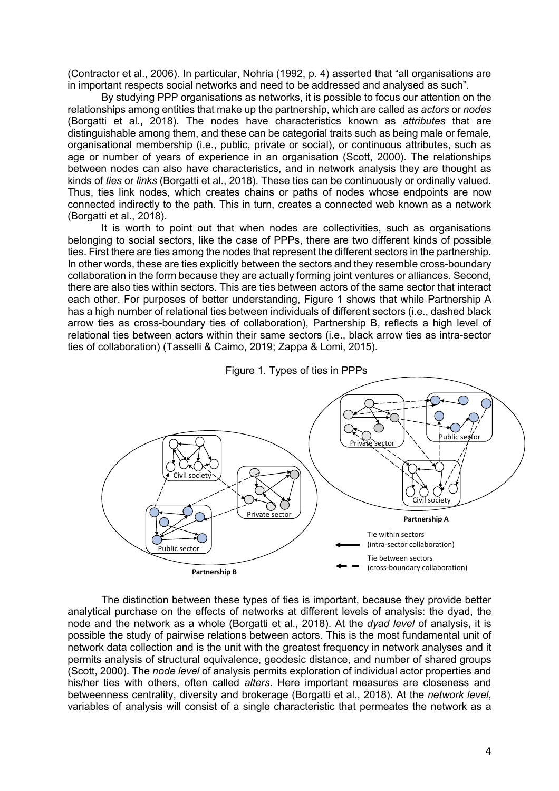(Contractor et al., 2006). In particular, Nohria (1992, p. 4) asserted that "all organisations are in important respects social networks and need to be addressed and analysed as such".

By studying PPP organisations as networks, it is possible to focus our attention on the relationships among entities that make up the partnership, which are called as *actors* or *nodes* (Borgatti et al., 2018). The nodes have characteristics known as *attributes* that are distinguishable among them, and these can be categorial traits such as being male or female, organisational membership (i.e., public, private or social), or continuous attributes, such as age or number of years of experience in an organisation (Scott, 2000). The relationships between nodes can also have characteristics, and in network analysis they are thought as kinds of *ties* or *links* (Borgatti et al., 2018). These ties can be continuously or ordinally valued. Thus, ties link nodes, which creates chains or paths of nodes whose endpoints are now connected indirectly to the path. This in turn, creates a connected web known as a network (Borgatti et al., 2018).

It is worth to point out that when nodes are collectivities, such as organisations belonging to social sectors, like the case of PPPs, there are two different kinds of possible ties. First there are ties among the nodes that represent the different sectors in the partnership. In other words, these are ties explicitly between the sectors and they resemble cross-boundary collaboration in the form because they are actually forming joint ventures or alliances. Second, there are also ties within sectors. This are ties between actors of the same sector that interact each other. For purposes of better understanding, Figure 1 shows that while Partnership A has a high number of relational ties between individuals of different sectors (i.e., dashed black arrow ties as cross-boundary ties of collaboration), Partnership B, reflects a high level of relational ties between actors within their same sectors (i.e., black arrow ties as intra-sector ties of collaboration) (Tasselli & Caimo, 2019; Zappa & Lomi, 2015).





The distinction between these types of ties is important, because they provide better analytical purchase on the effects of networks at different levels of analysis: the dyad, the node and the network as a whole (Borgatti et al., 2018). At the *dyad level* of analysis, it is possible the study of pairwise relations between actors. This is the most fundamental unit of network data collection and is the unit with the greatest frequency in network analyses and it permits analysis of structural equivalence, geodesic distance, and number of shared groups (Scott, 2000). The *node level* of analysis permits exploration of individual actor properties and his/her ties with others, often called *alters*. Here important measures are closeness and betweenness centrality, diversity and brokerage (Borgatti et al., 2018). At the *network level*, variables of analysis will consist of a single characteristic that permeates the network as a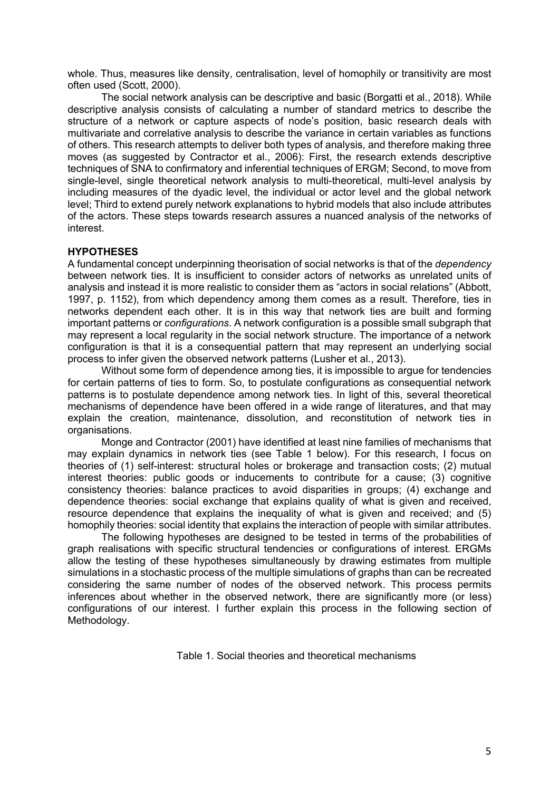whole. Thus, measures like density, centralisation, level of homophily or transitivity are most often used (Scott, 2000).

The social network analysis can be descriptive and basic (Borgatti et al., 2018). While descriptive analysis consists of calculating a number of standard metrics to describe the structure of a network or capture aspects of node's position, basic research deals with multivariate and correlative analysis to describe the variance in certain variables as functions of others. This research attempts to deliver both types of analysis, and therefore making three moves (as suggested by Contractor et al., 2006): First, the research extends descriptive techniques of SNA to confirmatory and inferential techniques of ERGM; Second, to move from single-level, single theoretical network analysis to multi-theoretical, multi-level analysis by including measures of the dyadic level, the individual or actor level and the global network level; Third to extend purely network explanations to hybrid models that also include attributes of the actors. These steps towards research assures a nuanced analysis of the networks of interest.

## **HYPOTHESES**

A fundamental concept underpinning theorisation of social networks is that of the *dependency* between network ties. It is insufficient to consider actors of networks as unrelated units of analysis and instead it is more realistic to consider them as "actors in social relations" (Abbott, 1997, p. 1152), from which dependency among them comes as a result. Therefore, ties in networks dependent each other. It is in this way that network ties are built and forming important patterns or *configurations*. A network configuration is a possible small subgraph that may represent a local regularity in the social network structure. The importance of a network configuration is that it is a consequential pattern that may represent an underlying social process to infer given the observed network patterns (Lusher et al., 2013).

Without some form of dependence among ties, it is impossible to argue for tendencies for certain patterns of ties to form. So, to postulate configurations as consequential network patterns is to postulate dependence among network ties. In light of this, several theoretical mechanisms of dependence have been offered in a wide range of literatures, and that may explain the creation, maintenance, dissolution, and reconstitution of network ties in organisations.

Monge and Contractor (2001) have identified at least nine families of mechanisms that may explain dynamics in network ties (see Table 1 below). For this research, I focus on theories of (1) self-interest: structural holes or brokerage and transaction costs; (2) mutual interest theories: public goods or inducements to contribute for a cause; (3) cognitive consistency theories: balance practices to avoid disparities in groups; (4) exchange and dependence theories: social exchange that explains quality of what is given and received, resource dependence that explains the inequality of what is given and received; and (5) homophily theories: social identity that explains the interaction of people with similar attributes.

The following hypotheses are designed to be tested in terms of the probabilities of graph realisations with specific structural tendencies or configurations of interest. ERGMs allow the testing of these hypotheses simultaneously by drawing estimates from multiple simulations in a stochastic process of the multiple simulations of graphs than can be recreated considering the same number of nodes of the observed network. This process permits inferences about whether in the observed network, there are significantly more (or less) configurations of our interest. I further explain this process in the following section of Methodology.

Table 1. Social theories and theoretical mechanisms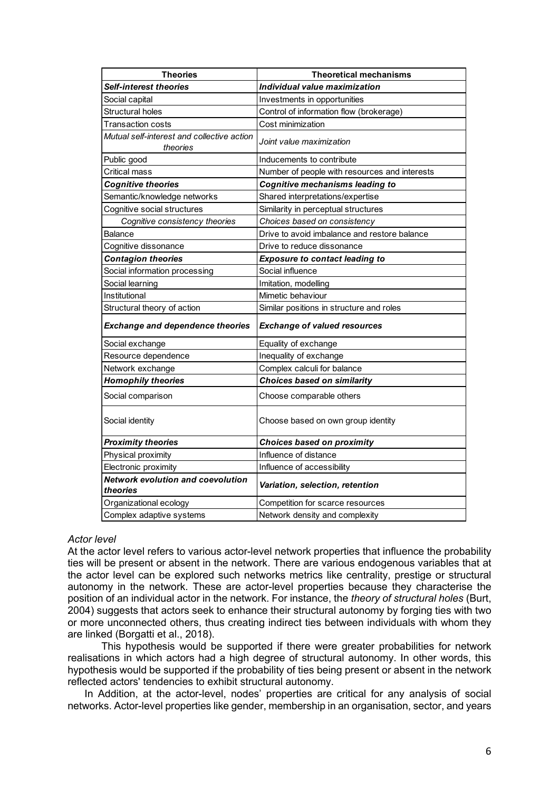| <b>Theories</b>                                        | <b>Theoretical mechanisms</b>                 |  |
|--------------------------------------------------------|-----------------------------------------------|--|
| <b>Self-interest theories</b>                          | Individual value maximization                 |  |
| Social capital                                         | Investments in opportunities                  |  |
| Structural holes                                       | Control of information flow (brokerage)       |  |
| Transaction costs                                      | Cost minimization                             |  |
| Mutual self-interest and collective action<br>theories | Joint value maximization                      |  |
| Public good                                            | Inducements to contribute                     |  |
| Critical mass                                          | Number of people with resources and interests |  |
| <b>Cognitive theories</b>                              | Cognitive mechanisms leading to               |  |
| Semantic/knowledge networks                            | Shared interpretations/expertise              |  |
| Cognitive social structures                            | Similarity in perceptual structures           |  |
| Cognitive consistency theories                         | Choices based on consistency                  |  |
| <b>Balance</b>                                         | Drive to avoid imbalance and restore balance  |  |
| Cognitive dissonance                                   | Drive to reduce dissonance                    |  |
| <b>Contagion theories</b>                              | <b>Exposure to contact leading to</b>         |  |
| Social information processing                          | Social influence                              |  |
| Social learning                                        | Imitation, modelling                          |  |
| Institutional                                          | Mimetic behaviour                             |  |
| Structural theory of action                            | Similar positions in structure and roles      |  |
| <b>Exchange and dependence theories</b>                | <b>Exchange of valued resources</b>           |  |
| Social exchange                                        | Equality of exchange                          |  |
| Resource dependence                                    | Inequality of exchange                        |  |
| Network exchange                                       | Complex calculi for balance                   |  |
| <b>Homophily theories</b>                              | Choices based on similarity                   |  |
| Social comparison                                      | Choose comparable others                      |  |
| Social identity                                        | Choose based on own group identity            |  |
| <b>Proximity theories</b>                              | <b>Choices based on proximity</b>             |  |
| Physical proximity                                     | Influence of distance                         |  |
| Electronic proximity                                   | Influence of accessibility                    |  |
| <b>Network evolution and coevolution</b>               | Variation, selection, retention               |  |
| theories                                               |                                               |  |
| Organizational ecology                                 | Competition for scarce resources              |  |
| Complex adaptive systems                               | Network density and complexity                |  |

### *Actor level*

At the actor level refers to various actor-level network properties that influence the probability ties will be present or absent in the network. There are various endogenous variables that at the actor level can be explored such networks metrics like centrality, prestige or structural autonomy in the network. These are actor-level properties because they characterise the position of an individual actor in the network. For instance, the *theory of structural holes* (Burt, 2004) suggests that actors seek to enhance their structural autonomy by forging ties with two or more unconnected others, thus creating indirect ties between individuals with whom they are linked (Borgatti et al., 2018).

This hypothesis would be supported if there were greater probabilities for network realisations in which actors had a high degree of structural autonomy. In other words, this hypothesis would be supported if the probability of ties being present or absent in the network reflected actors' tendencies to exhibit structural autonomy.

In Addition, at the actor-level, nodes' properties are critical for any analysis of social networks. Actor-level properties like gender, membership in an organisation, sector, and years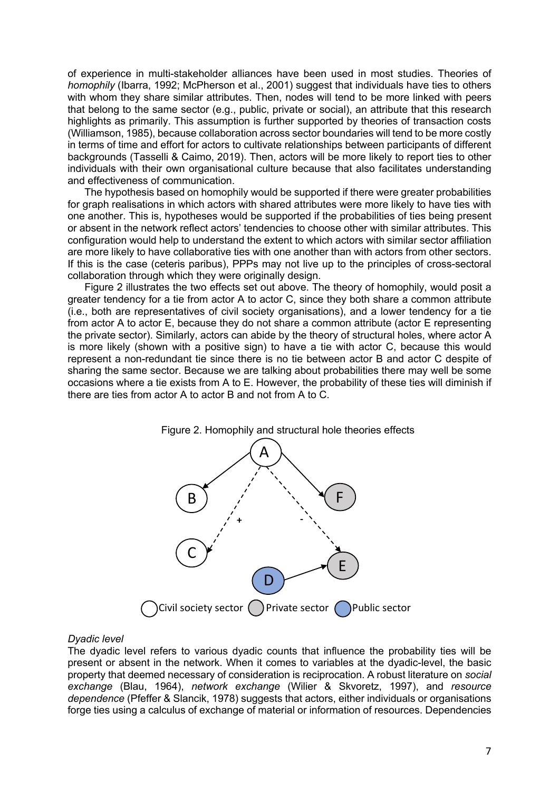of experience in multi-stakeholder alliances have been used in most studies. Theories of *homophily* (Ibarra, 1992; McPherson et al., 2001) suggest that individuals have ties to others with whom they share similar attributes. Then, nodes will tend to be more linked with peers that belong to the same sector (e.g., public, private or social), an attribute that this research highlights as primarily. This assumption is further supported by theories of transaction costs (Williamson, 1985), because collaboration across sector boundaries will tend to be more costly in terms of time and effort for actors to cultivate relationships between participants of different backgrounds (Tasselli & Caimo, 2019). Then, actors will be more likely to report ties to other individuals with their own organisational culture because that also facilitates understanding and effectiveness of communication.

The hypothesis based on homophily would be supported if there were greater probabilities for graph realisations in which actors with shared attributes were more likely to have ties with one another. This is, hypotheses would be supported if the probabilities of ties being present or absent in the network reflect actors' tendencies to choose other with similar attributes. This configuration would help to understand the extent to which actors with similar sector affiliation are more likely to have collaborative ties with one another than with actors from other sectors. If this is the case (ceteris paribus), PPPs may not live up to the principles of cross-sectoral collaboration through which they were originally design.

Figure 2 illustrates the two effects set out above. The theory of homophily, would posit a greater tendency for a tie from actor A to actor C, since they both share a common attribute (i.e., both are representatives of civil society organisations), and a lower tendency for a tie from actor A to actor E, because they do not share a common attribute (actor E representing the private sector). Similarly, actors can abide by the theory of structural holes, where actor A is more likely (shown with a positive sign) to have a tie with actor C, because this would represent a non-redundant tie since there is no tie between actor B and actor C despite of sharing the same sector. Because we are talking about probabilities there may well be some occasions where a tie exists from A to E. However, the probability of these ties will diminish if there are ties from actor A to actor B and not from A to C.





#### *Dyadic level*

The dyadic level refers to various dyadic counts that influence the probability ties will be present or absent in the network. When it comes to variables at the dyadic-level, the basic property that deemed necessary of consideration is reciprocation. A robust literature on *social exchange* (Blau, 1964), *network exchange* (Wilier & Skvoretz, 1997), and *resource dependence* (Pfeffer & Slancik, 1978) suggests that actors, either individuals or organisations forge ties using a calculus of exchange of material or information of resources. Dependencies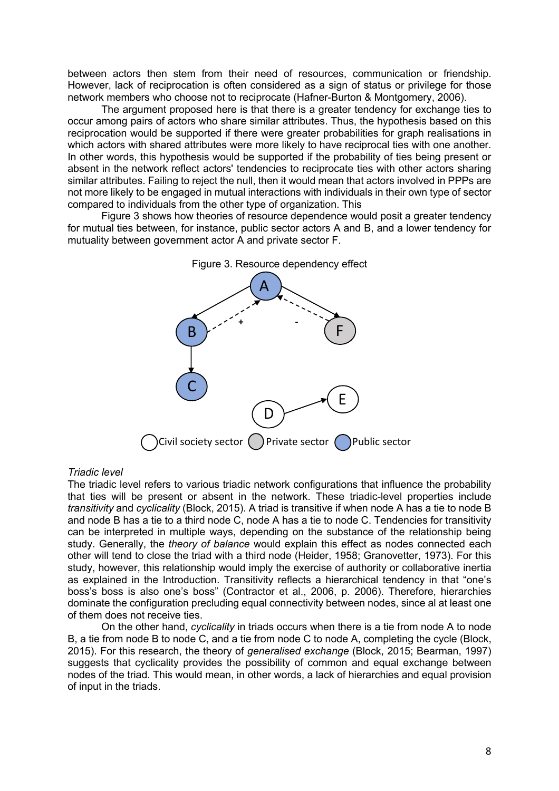between actors then stem from their need of resources, communication or friendship. However, lack of reciprocation is often considered as a sign of status or privilege for those network members who choose not to reciprocate (Hafner-Burton & Montgomery, 2006).

The argument proposed here is that there is a greater tendency for exchange ties to occur among pairs of actors who share similar attributes. Thus, the hypothesis based on this reciprocation would be supported if there were greater probabilities for graph realisations in which actors with shared attributes were more likely to have reciprocal ties with one another. In other words, this hypothesis would be supported if the probability of ties being present or absent in the network reflect actors' tendencies to reciprocate ties with other actors sharing similar attributes. Failing to reject the null, then it would mean that actors involved in PPPs are not more likely to be engaged in mutual interactions with individuals in their own type of sector compared to individuals from the other type of organization. This

Figure 3 shows how theories of resource dependence would posit a greater tendency for mutual ties between, for instance, public sector actors A and B, and a lower tendency for mutuality between government actor A and private sector F.



# Figure 3. Resource dependency effect

#### *Triadic level*

The triadic level refers to various triadic network configurations that influence the probability that ties will be present or absent in the network. These triadic-level properties include *transitivity* and *cyclicality* (Block, 2015). A triad is transitive if when node A has a tie to node B and node B has a tie to a third node C, node A has a tie to node C. Tendencies for transitivity can be interpreted in multiple ways, depending on the substance of the relationship being study. Generally, the *theory of balance* would explain this effect as nodes connected each other will tend to close the triad with a third node (Heider, 1958; Granovetter, 1973). For this study, however, this relationship would imply the exercise of authority or collaborative inertia as explained in the Introduction. Transitivity reflects a hierarchical tendency in that "one's boss's boss is also one's boss" (Contractor et al., 2006, p. 2006). Therefore, hierarchies dominate the configuration precluding equal connectivity between nodes, since al at least one of them does not receive ties.

On the other hand, *cyclicality* in triads occurs when there is a tie from node A to node B, a tie from node B to node C, and a tie from node C to node A, completing the cycle (Block, 2015). For this research, the theory of *generalised exchange* (Block, 2015; Bearman, 1997) suggests that cyclicality provides the possibility of common and equal exchange between nodes of the triad. This would mean, in other words, a lack of hierarchies and equal provision of input in the triads.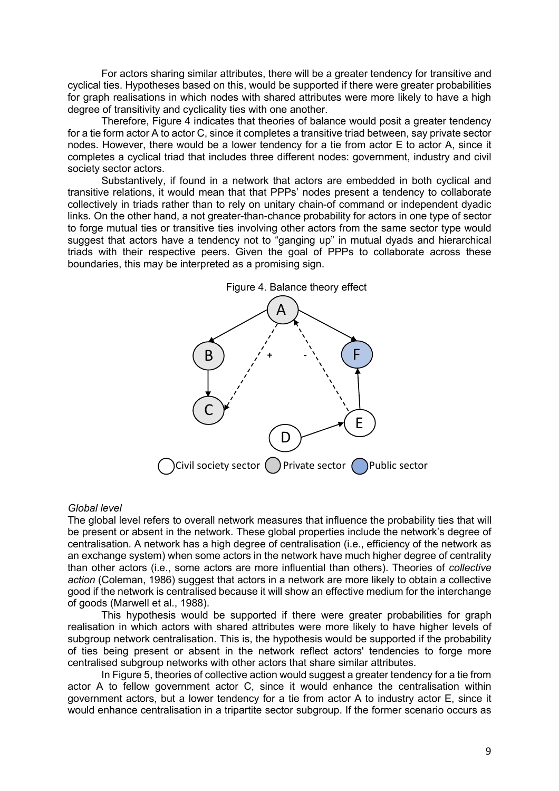For actors sharing similar attributes, there will be a greater tendency for transitive and cyclical ties. Hypotheses based on this, would be supported if there were greater probabilities for graph realisations in which nodes with shared attributes were more likely to have a high degree of transitivity and cyclicality ties with one another.

Therefore, Figure 4 indicates that theories of balance would posit a greater tendency for a tie form actor A to actor C, since it completes a transitive triad between, say private sector nodes. However, there would be a lower tendency for a tie from actor E to actor A, since it completes a cyclical triad that includes three different nodes: government, industry and civil society sector actors.

Substantively, if found in a network that actors are embedded in both cyclical and transitive relations, it would mean that that PPPs' nodes present a tendency to collaborate collectively in triads rather than to rely on unitary chain-of command or independent dyadic links. On the other hand, a not greater-than-chance probability for actors in one type of sector to forge mutual ties or transitive ties involving other actors from the same sector type would suggest that actors have a tendency not to "ganging up" in mutual dyads and hierarchical triads with their respective peers. Given the goal of PPPs to collaborate across these boundaries, this may be interpreted as a promising sign.



#### *Global level*

The global level refers to overall network measures that influence the probability ties that will be present or absent in the network. These global properties include the network's degree of centralisation. A network has a high degree of centralisation (i.e., efficiency of the network as an exchange system) when some actors in the network have much higher degree of centrality than other actors (i.e., some actors are more influential than others). Theories of *collective action* (Coleman, 1986) suggest that actors in a network are more likely to obtain a collective good if the network is centralised because it will show an effective medium for the interchange of goods (Marwell et al., 1988).

This hypothesis would be supported if there were greater probabilities for graph realisation in which actors with shared attributes were more likely to have higher levels of subgroup network centralisation. This is, the hypothesis would be supported if the probability of ties being present or absent in the network reflect actors' tendencies to forge more centralised subgroup networks with other actors that share similar attributes.

In Figure 5, theories of collective action would suggest a greater tendency for a tie from actor A to fellow government actor C, since it would enhance the centralisation within government actors, but a lower tendency for a tie from actor A to industry actor E, since it would enhance centralisation in a tripartite sector subgroup. If the former scenario occurs as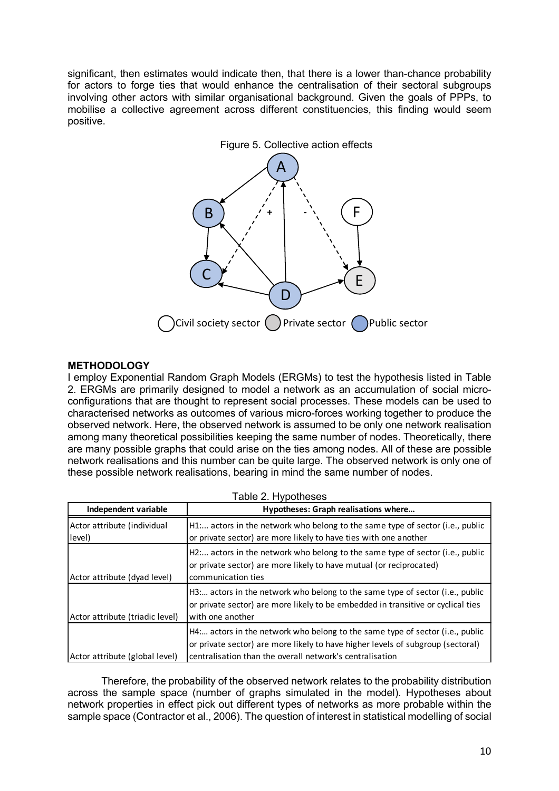significant, then estimates would indicate then, that there is a lower than-chance probability for actors to forge ties that would enhance the centralisation of their sectoral subgroups involving other actors with similar organisational background. Given the goals of PPPs, to mobilise a collective agreement across different constituencies, this finding would seem positive.



# **METHODOLOGY**

I employ Exponential Random Graph Models (ERGMs) to test the hypothesis listed in Table 2. ERGMs are primarily designed to model a network as an accumulation of social microconfigurations that are thought to represent social processes. These models can be used to characterised networks as outcomes of various micro-forces working together to produce the observed network. Here, the observed network is assumed to be only one network realisation among many theoretical possibilities keeping the same number of nodes. Theoretically, there are many possible graphs that could arise on the ties among nodes. All of these are possible network realisations and this number can be quite large. The observed network is only one of these possible network realisations, bearing in mind the same number of nodes.

| Independent variable                  | Hypotheses: Graph realisations where                                                                                                                                                                                        |  |
|---------------------------------------|-----------------------------------------------------------------------------------------------------------------------------------------------------------------------------------------------------------------------------|--|
| Actor attribute (individual<br>level) | H1 actors in the network who belong to the same type of sector (i.e., public<br>or private sector) are more likely to have ties with one another                                                                            |  |
| Actor attribute (dyad level)          | H2 actors in the network who belong to the same type of sector (i.e., public<br>or private sector) are more likely to have mutual (or reciprocated)<br>communication ties                                                   |  |
| Actor attribute (triadic level)       | H3: actors in the network who belong to the same type of sector (i.e., public<br>or private sector) are more likely to be embedded in transitive or cyclical ties<br>with one another                                       |  |
| Actor attribute (global level)        | H4 actors in the network who belong to the same type of sector (i.e., public<br>or private sector) are more likely to have higher levels of subgroup (sectoral)<br>centralisation than the overall network's centralisation |  |

Therefore, the probability of the observed network relates to the probability distribution across the sample space (number of graphs simulated in the model). Hypotheses about network properties in effect pick out different types of networks as more probable within the sample space (Contractor et al., 2006). The question of interest in statistical modelling of social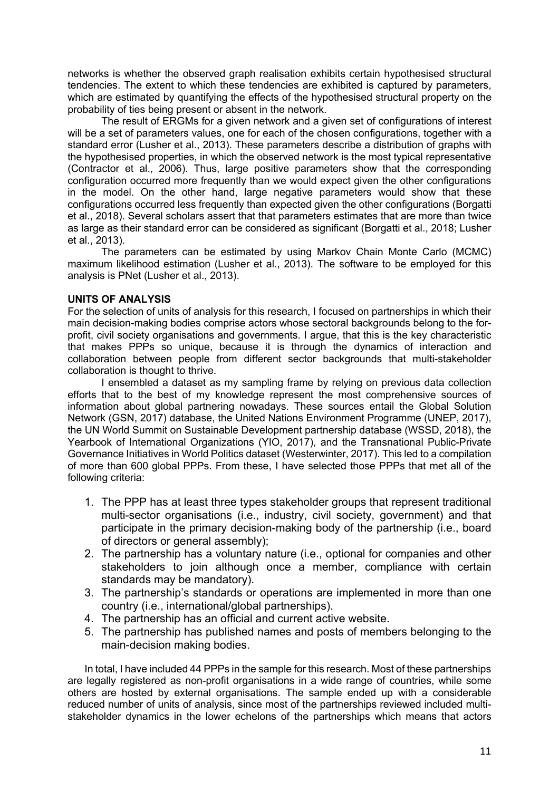networks is whether the observed graph realisation exhibits certain hypothesised structural tendencies. The extent to which these tendencies are exhibited is captured by parameters, which are estimated by quantifying the effects of the hypothesised structural property on the probability of ties being present or absent in the network.

The result of ERGMs for a given network and a given set of configurations of interest will be a set of parameters values, one for each of the chosen configurations, together with a standard error (Lusher et al., 2013). These parameters describe a distribution of graphs with the hypothesised properties, in which the observed network is the most typical representative (Contractor et al., 2006). Thus, large positive parameters show that the corresponding configuration occurred more frequently than we would expect given the other configurations in the model. On the other hand, large negative parameters would show that these configurations occurred less frequently than expected given the other configurations (Borgatti et al., 2018). Several scholars assert that that parameters estimates that are more than twice as large as their standard error can be considered as significant (Borgatti et al., 2018; Lusher et al., 2013).

The parameters can be estimated by using Markov Chain Monte Carlo (MCMC) maximum likelihood estimation (Lusher et al., 2013). The software to be employed for this analysis is PNet (Lusher et al., 2013).

# **UNITS OF ANALYSIS**

For the selection of units of analysis for this research, I focused on partnerships in which their main decision-making bodies comprise actors whose sectoral backgrounds belong to the forprofit, civil society organisations and governments. I argue, that this is the key characteristic that makes PPPs so unique, because it is through the dynamics of interaction and collaboration between people from different sector backgrounds that multi-stakeholder collaboration is thought to thrive.

I ensembled a dataset as my sampling frame by relying on previous data collection efforts that to the best of my knowledge represent the most comprehensive sources of information about global partnering nowadays. These sources entail the Global Solution Network (GSN, 2017) database, the United Nations Environment Programme (UNEP, 2017), the UN World Summit on Sustainable Development partnership database (WSSD, 2018), the Yearbook of International Organizations (YIO, 2017), and the Transnational Public-Private Governance Initiatives in World Politics dataset (Westerwinter, 2017). This led to a compilation of more than 600 global PPPs. From these, I have selected those PPPs that met all of the following criteria:

- 1. The PPP has at least three types stakeholder groups that represent traditional multi-sector organisations (i.e., industry, civil society, government) and that participate in the primary decision-making body of the partnership (i.e., board of directors or general assembly);
- 2. The partnership has a voluntary nature (i.e., optional for companies and other stakeholders to join although once a member, compliance with certain standards may be mandatory).
- 3. The partnership's standards or operations are implemented in more than one country (i.e., international/global partnerships).
- 4. The partnership has an official and current active website.
- 5. The partnership has published names and posts of members belonging to the main-decision making bodies.

In total, I have included 44 PPPs in the sample for this research. Most of these partnerships are legally registered as non-profit organisations in a wide range of countries, while some others are hosted by external organisations. The sample ended up with a considerable reduced number of units of analysis, since most of the partnerships reviewed included multistakeholder dynamics in the lower echelons of the partnerships which means that actors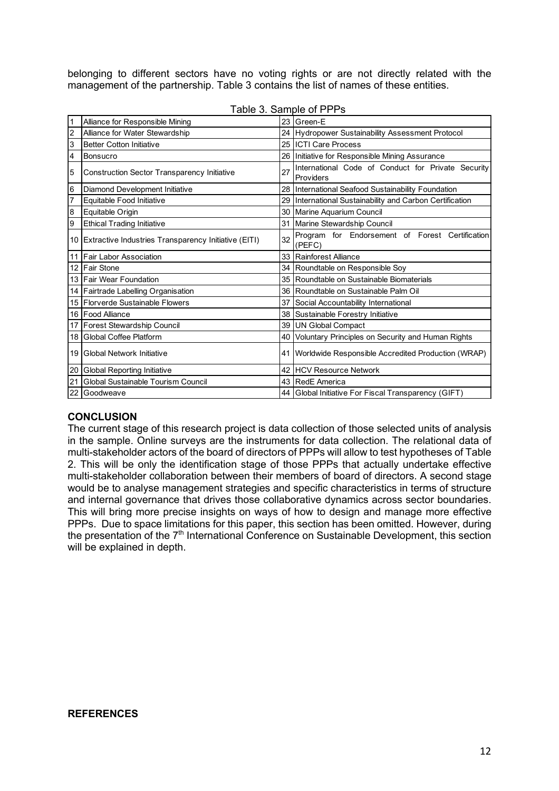belonging to different sectors have no voting rights or are not directly related with the management of the partnership. Table 3 contains the list of names of these entities.

|    | Alliance for Responsible Mining                      |    | 23 Green-E                                                      |
|----|------------------------------------------------------|----|-----------------------------------------------------------------|
| 2  | Alliance for Water Stewardship                       |    | 24 Hydropower Sustainability Assessment Protocol                |
| 3  | <b>Better Cotton Initiative</b>                      |    | 25 ICTI Care Process                                            |
| 4  | <b>Bonsucro</b>                                      |    | 26 Initiative for Responsible Mining Assurance                  |
| 5  | Construction Sector Transparency Initiative          | 27 | International Code of Conduct for Private Security<br>Providers |
| 6  | Diamond Development Initiative                       |    | 28 International Seafood Sustainability Foundation              |
| 7  | Equitable Food Initiative                            | 29 | International Sustainability and Carbon Certification           |
| 8  | Equitable Origin                                     |    | 30 Marine Aquarium Council                                      |
| 9  | <b>Ethical Trading Initiative</b>                    | 31 | Marine Stewardship Council                                      |
| 10 | Extractive Industries Transparency Initiative (EITI) | 32 | Program for Endorsement of Forest Certification<br>(PEFC)       |
| 11 | <b>Fair Labor Association</b>                        |    | 33 Rainforest Alliance                                          |
| 12 | <b>Fair Stone</b>                                    |    | 34 Roundtable on Responsible Soy                                |
|    | 13 Fair Wear Foundation                              |    | 35 Roundtable on Sustainable Biomaterials                       |
| 14 | Fairtrade Labelling Organisation                     |    | 36 Roundtable on Sustainable Palm Oil                           |
|    | 15 Florverde Sustainable Flowers                     | 37 | Social Accountability International                             |
| 16 | <b>Food Alliance</b>                                 |    | 38 Sustainable Forestry Initiative                              |
| 17 | Forest Stewardship Council                           |    | 39 UN Global Compact                                            |
| 18 | Global Coffee Platform                               |    | 40 Voluntary Principles on Security and Human Rights            |
| 19 | <b>Global Network Initiative</b>                     | 41 | Worldwide Responsible Accredited Production (WRAP)              |
| 20 | <b>Global Reporting Initiative</b>                   |    | 42 HCV Resource Network                                         |
| 21 | Global Sustainable Tourism Council                   |    | 43 RedE America                                                 |
| 22 | Goodweave                                            |    | 44 Global Initiative For Fiscal Transparency (GIFT)             |

Table 3. Sample of PPPs

# **CONCLUSION**

The current stage of this research project is data collection of those selected units of analysis in the sample. Online surveys are the instruments for data collection. The relational data of multi-stakeholder actors of the board of directors of PPPs will allow to test hypotheses of Table 2. This will be only the identification stage of those PPPs that actually undertake effective multi-stakeholder collaboration between their members of board of directors. A second stage would be to analyse management strategies and specific characteristics in terms of structure and internal governance that drives those collaborative dynamics across sector boundaries. This will bring more precise insights on ways of how to design and manage more effective PPPs. Due to space limitations for this paper, this section has been omitted. However, during the presentation of the  $7<sup>th</sup>$  International Conference on Sustainable Development, this section will be explained in depth.

## **REFERENCES**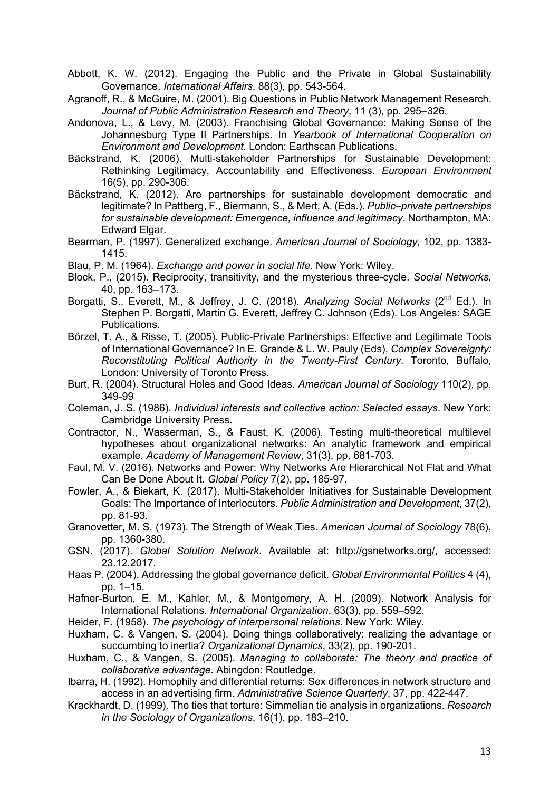Abbott, K. W. (2012). Engaging the Public and the Private in Global Sustainability Governance. *International Affairs*, 88(3), pp. 543-564.

Agranoff, R., & McGuire, M. (2001). Big Questions in Public Network Management Research. *Journal of Public Administration Research and Theory*, 11 (3), pp. 295–326.

- Andonova, L., & Levy, M. (2003). Franchising Global Governance: Making Sense of the Johannesburg Type II Partnerships. In *Yearbook of International Cooperation on Environment and Development*. London: Earthscan Publications.
- Bäckstrand, K. (2006). Multi-stakeholder Partnerships for Sustainable Development: Rethinking Legitimacy, Accountability and Effectiveness. *European Environment* 16(5), pp. 290-306.
- Bäckstrand, K. (2012). Are partnerships for sustainable development democratic and legitimate? In Pattberg, F., Biermann, S., & Mert, A. (Eds.). *Public–private partnerships for sustainable development: Emergence, influence and legitimacy*. Northampton, MA: Edward Elgar.
- Bearman, P. (1997). Generalized exchange. *American Journal of Sociology*, 102, pp. 1383- 1415.
- Blau, P. M. (1964). *Exchange and power in social life*. New York: Wiley.
- Block, P., (2015). Reciprocity, transitivity, and the mysterious three-cycle. *Social Networks*, 40, pp. 163–173.
- Borgatti, S., Everett, M., & Jeffrey, J. C. (2018). *Analyzing Social Networks* (2<sup>nd</sup> Ed.). In Stephen P. Borgatti, Martin G. Everett, Jeffrey C. Johnson (Eds). Los Angeles: SAGE Publications.
- Börzel, T. A., & Risse, T. (2005). Public-Private Partnerships: Effective and Legitimate Tools of International Governance? In E. Grande & L. W. Pauly (Eds), *Complex Sovereignty: Reconstituting Political Authority in the Twenty-First Century*. Toronto, Buffalo, London: University of Toronto Press.
- Burt, R. (2004). Structural Holes and Good Ideas. *American Journal of Sociology* 110(2), pp. 349-99
- Coleman, J. S. (1986). *Individual interests and collective action: Selected essays*. New York: Cambridge University Press.
- Contractor, N., Wasserman, S., & Faust, K. (2006). Testing multi-theoretical multilevel hypotheses about organizational networks: An analytic framework and empirical example. *Academy of Management Review*, 31(3), pp. 681-703.
- Faul, M. V. (2016). Networks and Power: Why Networks Are Hierarchical Not Flat and What Can Be Done About It. *Global Policy* 7(2), pp. 185-97.
- Fowler, A., & Biekart, K. (2017). Multi-Stakeholder Initiatives for Sustainable Development Goals: The Importance of Interlocutors. *Public Administration and Development*, 37(2), pp. 81-93.
- Granovetter, M. S. (1973). The Strength of Weak Ties. *American Journal of Sociology* 78(6), pp. 1360-380.
- GSN. (2017). *Global Solution Network*. Available at: http://gsnetworks.org/, accessed: 23.12.2017.
- Haas P. (2004). Addressing the global governance deficit. *Global Environmental Politics* 4 (4), pp. 1–15.
- Hafner-Burton, E. M., Kahler, M., & Montgomery, A. H. (2009). Network Analysis for International Relations. *International Organization*, 63(3), pp. 559–592.
- Heider, F. (1958). *The psychology of interpersonal relations*. New York: Wiley.
- Huxham, C. & Vangen, S. (2004). Doing things collaboratively: realizing the advantage or succumbing to inertia? *Organizational Dynamics*, 33(2), pp. 190-201.
- Huxham, C., & Vangen, S. (2005). *Managing to collaborate: The theory and practice of collaborative advantage*. Abingdon: Routledge.
- Ibarra, H. (1992). Homophily and differential returns: Sex differences in network structure and access in an advertising firm. *Administrative Science Quarterly*, 37, pp. 422-447.
- Krackhardt, D. (1999). The ties that torture: Simmelian tie analysis in organizations. *Research in the Sociology of Organizations*, 16(1), pp. 183–210.